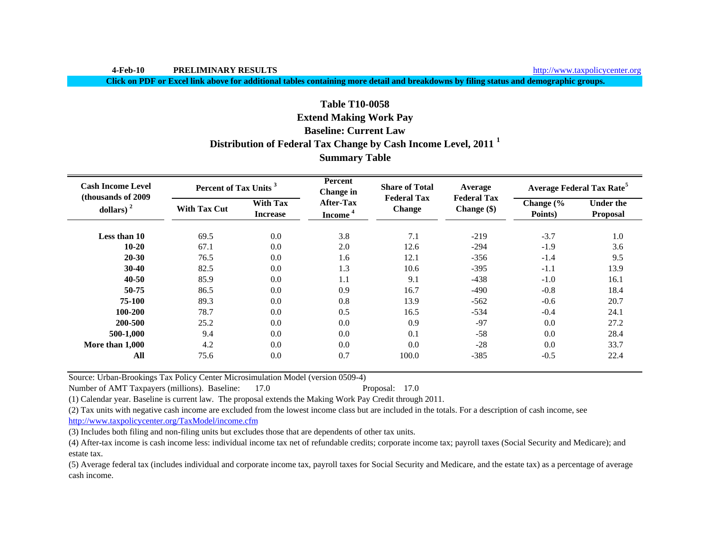**4-Feb-10 PRELIMINARY RESULTS**

http://www.taxpolicycenter.org

**Click on PDF or Excel link above for additional tables containing more detail and breakdowns by filing status and demographic groups.**

# **Table T10-0058**

## **Extend Making Work Pay**

## **Baseline: Current Law**

# **Distribution of Federal Tax Change by Cash Income Level, 2011 <sup>1</sup>**

# **Summary Table**

| <b>Cash Income Level</b><br>(thousands of 2009) | Percent of Tax Units <sup>3</sup> |                                    | <b>Percent</b><br>Change in             | <b>Share of Total</b><br><b>Federal Tax</b> | Average<br><b>Federal Tax</b> |                                 | <b>Average Federal Tax Rate<sup>5</sup></b> |
|-------------------------------------------------|-----------------------------------|------------------------------------|-----------------------------------------|---------------------------------------------|-------------------------------|---------------------------------|---------------------------------------------|
| dollars) $2$                                    | <b>With Tax Cut</b>               | <b>With Tax</b><br><b>Increase</b> | <b>After-Tax</b><br>Income <sup>4</sup> | <b>Change</b>                               | Change $(\$)$                 | Change $\frac{6}{6}$<br>Points) | <b>Under the</b><br>Proposal                |
| Less than 10                                    | 69.5                              | 0.0                                | 3.8                                     | 7.1                                         | $-219$                        | $-3.7$                          | 1.0                                         |
| $10 - 20$                                       | 67.1                              | 0.0                                | 2.0                                     | 12.6                                        | $-294$                        | $-1.9$                          | 3.6                                         |
| $20 - 30$                                       | 76.5                              | 0.0                                | 1.6                                     | 12.1                                        | $-356$                        | $-1.4$                          | 9.5                                         |
| $30 - 40$                                       | 82.5                              | 0.0                                | 1.3                                     | 10.6                                        | $-395$                        | $-1.1$                          | 13.9                                        |
| $40 - 50$                                       | 85.9                              | 0.0                                | 1.1                                     | 9.1                                         | $-438$                        | $-1.0$                          | 16.1                                        |
| 50-75                                           | 86.5                              | 0.0                                | 0.9                                     | 16.7                                        | $-490$                        | $-0.8$                          | 18.4                                        |
| 75-100                                          | 89.3                              | 0.0                                | 0.8                                     | 13.9                                        | $-562$                        | $-0.6$                          | 20.7                                        |
| 100-200                                         | 78.7                              | 0.0                                | 0.5                                     | 16.5                                        | $-534$                        | $-0.4$                          | 24.1                                        |
| 200-500                                         | 25.2                              | 0.0                                | 0.0                                     | 0.9                                         | $-97$                         | 0.0                             | 27.2                                        |
| 500-1,000                                       | 9.4                               | 0.0                                | 0.0                                     | 0.1                                         | $-58$                         | 0.0                             | 28.4                                        |
| More than 1,000                                 | 4.2                               | 0.0                                | 0.0                                     | 0.0                                         | $-28$                         | 0.0                             | 33.7                                        |
| All                                             | 75.6                              | 0.0                                | 0.7                                     | 100.0                                       | $-385$                        | $-0.5$                          | 22.4                                        |

Source: Urban-Brookings Tax Policy Center Microsimulation Model (version 0509-4)

Number of AMT Taxpayers (millions). Baseline: 17.0 Proposal: 17.0

(1) Calendar year. Baseline is current law. The proposal extends the Making Work Pay Credit through 2011.

(2) Tax units with negative cash income are excluded from the lowest income class but are included in the totals. For a description of cash income, see http://www.taxpolicycenter.org/TaxModel/income.cfm

(3) Includes both filing and non-filing units but excludes those that are dependents of other tax units.

(4) After-tax income is cash income less: individual income tax net of refundable credits; corporate income tax; payroll taxes (Social Security and Medicare); and estate tax.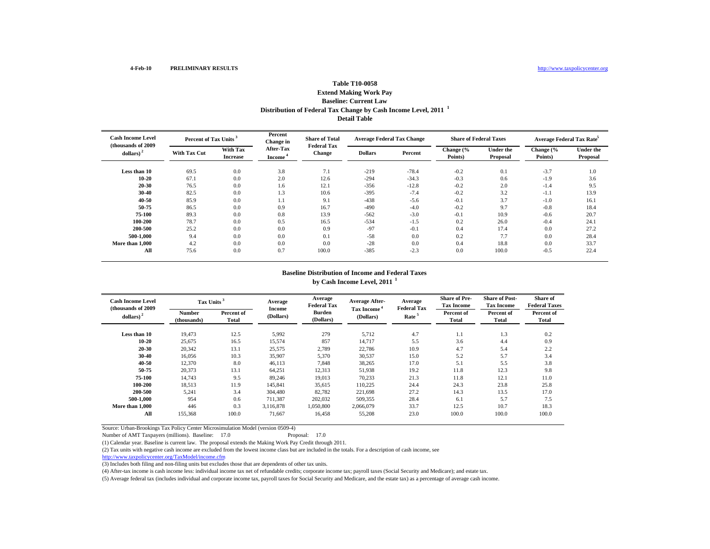## **Distribution of Federal Tax Change by Cash Income Level, 2011 <sup>1</sup> Detail TableTable T10-0058 Extend Making Work Pay Baseline: Current Law**

| <b>Cash Income Level</b><br>(thousands of 2009) | Percent of Tax Units <sup>3</sup> |                             | Percent<br><b>Share of Total</b><br>Change in<br><b>Federal Tax</b> |               | <b>Average Federal Tax Change</b> |         | <b>Share of Federal Taxes</b> |                              | Average Federal Tax Rate <sup>5</sup> |                              |
|-------------------------------------------------|-----------------------------------|-----------------------------|---------------------------------------------------------------------|---------------|-----------------------------------|---------|-------------------------------|------------------------------|---------------------------------------|------------------------------|
| dollars) $2$                                    | <b>With Tax Cut</b>               | With Tax<br><b>Increase</b> | <b>After-Tax</b><br>Income                                          | <b>Change</b> | <b>Dollars</b>                    | Percent | Change (%<br>Points)          | <b>Under the</b><br>Proposal | Change (%<br>Points)                  | <b>Under the</b><br>Proposal |
| Less than 10                                    | 69.5                              | 0.0                         | 3.8                                                                 | 7.1           | $-219$                            | $-78.4$ | $-0.2$                        | 0.1                          | $-3.7$                                | 1.0                          |
| $10 - 20$                                       | 67.1                              | 0.0                         | 2.0                                                                 | 12.6          | $-294$                            | $-34.3$ | $-0.3$                        | 0.6                          | $-1.9$                                | 3.6                          |
| $20 - 30$                                       | 76.5                              | 0.0                         | 1.6                                                                 | 12.1          | $-356$                            | $-12.8$ | $-0.2$                        | 2.0                          | $-1.4$                                | 9.5                          |
| $30 - 40$                                       | 82.5                              | 0.0                         | 1.3                                                                 | 10.6          | $-395$                            | $-7.4$  | $-0.2$                        | 3.2                          | $-1.1$                                | 13.9                         |
| $40 - 50$                                       | 85.9                              | 0.0                         | 1.1                                                                 | 9.1           | $-438$                            | $-5.6$  | $-0.1$                        | 3.7                          | $-1.0$                                | 16.1                         |
| 50-75                                           | 86.5                              | 0.0                         | 0.9                                                                 | 16.7          | $-490$                            | $-4.0$  | $-0.2$                        | 9.7                          | $-0.8$                                | 18.4                         |
| 75-100                                          | 89.3                              | 0.0                         | 0.8                                                                 | 13.9          | $-562$                            | $-3.0$  | $-0.1$                        | 10.9                         | $-0.6$                                | 20.7                         |
| 100-200                                         | 78.7                              | 0.0                         | 0.5                                                                 | 16.5          | $-534$                            | $-1.5$  | 0.2                           | 26.0                         | $-0.4$                                | 24.1                         |
| 200-500                                         | 25.2                              | 0.0                         | 0.0                                                                 | 0.9           | $-97$                             | $-0.1$  | 0.4                           | 17.4                         | 0.0                                   | 27.2                         |
| 500-1.000                                       | 9.4                               | 0.0                         | 0.0                                                                 | 0.1           | $-58$                             | 0.0     | 0.2                           | 7.7                          | 0.0                                   | 28.4                         |
| More than 1,000                                 | 4.2                               | 0.0                         | 0.0                                                                 | 0.0           | $-28$                             | 0.0     | 0.4                           | 18.8                         | 0.0                                   | 33.7                         |
| All                                             | 75.6                              | 0.0                         | 0.7                                                                 | 100.0         | $-385$                            | $-2.3$  | 0.0                           | 100.0                        | $-0.5$                                | 22.4                         |

### **Baseline Distribution of Income and Federal Taxes by Cash Income Level, 2011 <sup>1</sup>**

| <b>Cash Income Level</b><br>(thousands of 2009) | Tax Units <sup>3</sup>       |                     | Average             | Average<br><b>Federal Tax</b> | <b>Average After-</b>                | Average<br><b>Federal Tax</b> | <b>Share of Pre-</b><br><b>Tax Income</b> | <b>Share of Post-</b><br><b>Tax Income</b> | Share of<br><b>Federal Taxes</b> |
|-------------------------------------------------|------------------------------|---------------------|---------------------|-------------------------------|--------------------------------------|-------------------------------|-------------------------------------------|--------------------------------------------|----------------------------------|
| dollars) <sup>2</sup>                           | <b>Number</b><br>(thousands) | Percent of<br>Total | Income<br>(Dollars) | <b>Burden</b><br>(Dollars)    | Tax Income <sup>*</sup><br>(Dollars) | Rate <sup>5</sup>             | Percent of<br>Total                       | Percent of<br>Total                        | Percent of<br><b>Total</b>       |
| Less than 10                                    | 19.473                       | 12.5                | 5,992               | 279                           | 5,712                                | 4.7                           | 1.1                                       | 1.3                                        | 0.2                              |
| $10 - 20$                                       | 25,675                       | 16.5                | 15,574              | 857                           | 14.717                               | 5.5                           | 3.6                                       | 4.4                                        | 0.9                              |
| $20 - 30$                                       | 20,342                       | 13.1                | 25,575              | 2,789                         | 22,786                               | 10.9                          | 4.7                                       | 5.4                                        | 2.2                              |
| $30 - 40$                                       | 16,056                       | 10.3                | 35,907              | 5,370                         | 30,537                               | 15.0                          | 5.2                                       | 5.7                                        | 3.4                              |
| 40-50                                           | 12,370                       | 8.0                 | 46,113              | 7,848                         | 38,265                               | 17.0                          | 5.1                                       | 5.5                                        | 3.8                              |
| 50-75                                           | 20.373                       | 13.1                | 64,251              | 12,313                        | 51,938                               | 19.2                          | 11.8                                      | 12.3                                       | 9.8                              |
| 75-100                                          | 14.743                       | 9.5                 | 89.246              | 19,013                        | 70,233                               | 21.3                          | 11.8                                      | 12.1                                       | 11.0                             |
| 100-200                                         | 18,513                       | 11.9                | 145,841             | 35,615                        | 110,225                              | 24.4                          | 24.3                                      | 23.8                                       | 25.8                             |
| 200-500                                         | 5,241                        | 3.4                 | 304,480             | 82,782                        | 221,698                              | 27.2                          | 14.3                                      | 13.5                                       | 17.0                             |
| 500-1.000                                       | 954                          | 0.6                 | 711,387             | 202,032                       | 509.355                              | 28.4                          | 6.1                                       | 5.7                                        | 7.5                              |
| More than 1.000                                 | 446                          | 0.3                 | 3.116.878           | 1,050,800                     | 2.066.079                            | 33.7                          | 12.5                                      | 10.7                                       | 18.3                             |
| All                                             | 155.368                      | 100.0               | 71.667              | 16.458                        | 55,208                               | 23.0                          | 100.0                                     | 100.0                                      | 100.0                            |

Source: Urban-Brookings Tax Policy Center Microsimulation Model (version 0509-4)

Number of AMT Taxpayers (millions). Baseline: 17.0

(1) Calendar year. Baseline is current law. The proposal extends the Making Work Pay Credit through 2011.

(2) Tax units with negative cash income are excluded from the lowest income class but are included in the totals. For a description of cash income, see

http://www.taxpolicycenter.org/TaxModel/income.cfm

(3) Includes both filing and non-filing units but excludes those that are dependents of other tax units.

(4) After-tax income is cash income less: individual income tax net of refundable credits; corporate income tax; payroll taxes (Social Security and Medicare); and estate tax.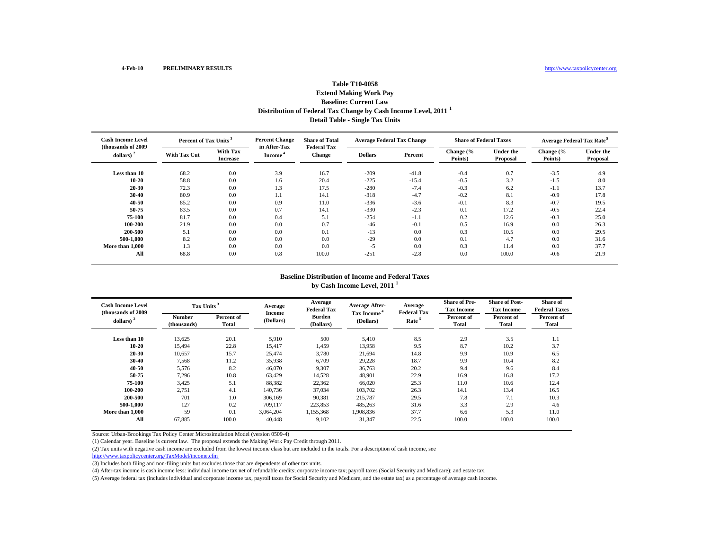## **Distribution of Federal Tax Change by Cash Income Level, 2011 <sup>1</sup> Detail Table - Single Tax Units Table T10-0058Extend Making Work Pay Baseline: Current Law**

| <b>Cash Income Level</b><br>(thousands of 2009) | Percent of Tax Units <sup>3</sup> |                             | <b>Percent Change</b><br>in After-Tax | <b>Share of Total</b><br><b>Federal Tax</b> | <b>Average Federal Tax Change</b> |         | <b>Share of Federal Taxes</b> |                              | Average Federal Tax Rate <sup>5</sup> |                              |
|-------------------------------------------------|-----------------------------------|-----------------------------|---------------------------------------|---------------------------------------------|-----------------------------------|---------|-------------------------------|------------------------------|---------------------------------------|------------------------------|
| dollars)                                        | <b>With Tax Cut</b>               | With Tax<br><b>Increase</b> | Income <sup>*</sup>                   | <b>Change</b>                               | <b>Dollars</b>                    | Percent | Change (%<br>Points)          | <b>Under the</b><br>Proposal | Change (%<br>Points)                  | <b>Under the</b><br>Proposal |
| Less than 10                                    | 68.2                              | 0.0                         | 3.9                                   | 16.7                                        | $-209$                            | $-41.8$ | $-0.4$                        | 0.7                          | $-3.5$                                | 4.9                          |
| 10-20                                           | 58.8                              | 0.0                         | 1.6                                   | 20.4                                        | $-225$                            | $-15.4$ | $-0.5$                        | 3.2                          | $-1.5$                                | 8.0                          |
| 20-30                                           | 72.3                              | 0.0                         | 1.3                                   | 17.5                                        | $-280$                            | $-7.4$  | $-0.3$                        | 6.2                          | $-1.1$                                | 13.7                         |
| 30-40                                           | 80.9                              | 0.0                         | 1.1                                   | 14.1                                        | $-318$                            | $-4.7$  | $-0.2$                        | 8.1                          | $-0.9$                                | 17.8                         |
| 40-50                                           | 85.2                              | 0.0                         | 0.9                                   | 11.0                                        | $-336$                            | $-3.6$  | $-0.1$                        | 8.3                          | $-0.7$                                | 19.5                         |
| 50-75                                           | 83.5                              | 0.0                         | 0.7                                   | 14.1                                        | $-330$                            | $-2.3$  | 0.1                           | 17.2                         | $-0.5$                                | 22.4                         |
| 75-100                                          | 81.7                              | 0.0                         | 0.4                                   | 5.1                                         | $-254$                            | $-1.1$  | 0.2                           | 12.6                         | $-0.3$                                | 25.0                         |
| 100-200                                         | 21.9                              | 0.0                         | 0.0                                   | 0.7                                         | $-46$                             | $-0.1$  | 0.5                           | 16.9                         | 0.0                                   | 26.3                         |
| 200-500                                         | 5.1                               | 0.0                         | 0.0                                   | 0.1                                         | $-13$                             | 0.0     | 0.3                           | 10.5                         | 0.0                                   | 29.5                         |
| 500-1.000                                       | 8.2                               | 0.0                         | 0.0                                   | 0.0                                         | $-29$                             | 0.0     | 0.1                           | 4.7                          | 0.0                                   | 31.6                         |
| More than 1,000                                 | 1.3                               | 0.0                         | 0.0                                   | 0.0                                         | $-5$                              | 0.0     | 0.3                           | 11.4                         | 0.0                                   | 37.7                         |
| All                                             | 68.8                              | 0.0                         | 0.8                                   | 100.0                                       | $-251$                            | $-2.8$  | 0.0                           | 100.0                        | $-0.6$                                | 21.9                         |

### **Baseline Distribution of Income and Federal Taxes by Cash Income Level, 2011 <sup>1</sup>**

| <b>Cash Income Level</b><br>(thousands of 2009)<br>$dollars)$ <sup>2</sup> | Tax Units <sup>3</sup><br><b>Number</b><br>(thousands) | Percent of<br>Total | Average<br>Income<br>(Dollars) | Average<br><b>Federal Tax</b><br><b>Burden</b><br>(Dollars) | <b>Average After-</b><br>Tax Income <sup>4</sup><br>(Dollars) | Average<br><b>Federal Tax</b><br>Rate <sup>5</sup> | <b>Share of Pre-</b><br><b>Tax Income</b><br>Percent of<br>Total | <b>Share of Post-</b><br><b>Tax Income</b><br>Percent of<br>Total | <b>Share of</b><br><b>Federal Taxes</b><br>Percent of<br><b>Total</b> |
|----------------------------------------------------------------------------|--------------------------------------------------------|---------------------|--------------------------------|-------------------------------------------------------------|---------------------------------------------------------------|----------------------------------------------------|------------------------------------------------------------------|-------------------------------------------------------------------|-----------------------------------------------------------------------|
| Less than 10                                                               | 13,625                                                 | 20.1                | 5,910                          | 500                                                         | 5,410                                                         | 8.5                                                | 2.9                                                              | 3.5                                                               | 1.1                                                                   |
| $10 - 20$                                                                  | 15,494                                                 | 22.8                | 15,417                         | 1,459                                                       | 13,958                                                        | 9.5                                                | 8.7                                                              | 10.2                                                              | 3.7                                                                   |
| 20-30                                                                      | 10,657                                                 | 15.7                | 25,474                         | 3,780                                                       | 21,694                                                        | 14.8                                               | 9.9                                                              | 10.9                                                              | 6.5                                                                   |
| 30-40                                                                      | 7,568                                                  | 11.2                | 35,938                         | 6.709                                                       | 29,228                                                        | 18.7                                               | 9.9                                                              | 10.4                                                              | 8.2                                                                   |
| 40-50                                                                      | 5,576                                                  | 8.2                 | 46,070                         | 9,307                                                       | 36,763                                                        | 20.2                                               | 9.4                                                              | 9.6                                                               | 8.4                                                                   |
| 50-75                                                                      | 7,296                                                  | 10.8                | 63,429                         | 14,528                                                      | 48,901                                                        | 22.9                                               | 16.9                                                             | 16.8                                                              | 17.2                                                                  |
| 75-100                                                                     | 3,425                                                  | 5.1                 | 88,382                         | 22,362                                                      | 66,020                                                        | 25.3                                               | 11.0                                                             | 10.6                                                              | 12.4                                                                  |
| 100-200                                                                    | 2,751                                                  | 4.1                 | 140,736                        | 37,034                                                      | 103,702                                                       | 26.3                                               | 14.1                                                             | 13.4                                                              | 16.5                                                                  |
| 200-500                                                                    | 701                                                    | 1.0                 | 306,169                        | 90,381                                                      | 215,787                                                       | 29.5                                               | 7.8                                                              | 7.1                                                               | 10.3                                                                  |
| 500-1.000                                                                  | 127                                                    | 0.2                 | 709,117                        | 223,853                                                     | 485,263                                                       | 31.6                                               | 3.3                                                              | 2.9                                                               | 4.6                                                                   |
| More than 1.000                                                            | 59                                                     | 0.1                 | 3,064,204                      | 1,155,368                                                   | 1,908,836                                                     | 37.7                                               | 6.6                                                              | 5.3                                                               | 11.0                                                                  |
| All                                                                        | 67.885                                                 | 100.0               | 40.448                         | 9,102                                                       | 31,347                                                        | 22.5                                               | 100.0                                                            | 100.0                                                             | 100.0                                                                 |

Source: Urban-Brookings Tax Policy Center Microsimulation Model (version 0509-4)

(1) Calendar year. Baseline is current law. The proposal extends the Making Work Pay Credit through 2011.

(2) Tax units with negative cash income are excluded from the lowest income class but are included in the totals. For a description of cash income, see

http://www.taxpolicycenter.org/TaxModel/income.cfm

(3) Includes both filing and non-filing units but excludes those that are dependents of other tax units.

(4) After-tax income is cash income less: individual income tax net of refundable credits; corporate income tax; payroll taxes (Social Security and Medicare); and estate tax.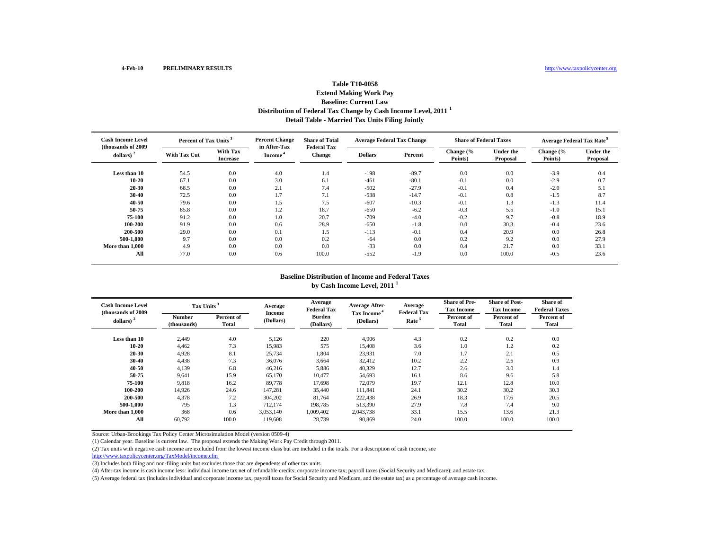## **Distribution of Federal Tax Change by Cash Income Level, 2011 <sup>1</sup> Detail Table - Married Tax Units Filing Jointly Table T10-0058Extend Making Work Pay Baseline: Current Law**

| <b>Cash Income Level</b><br>(thousands of 2009) | Percent of Tax Units <sup>3</sup> |                                    | <b>Percent Change</b><br>in After-Tax | <b>Share of Total</b><br><b>Federal Tax</b> | <b>Average Federal Tax Change</b> |         | <b>Share of Federal Taxes</b> |                              | <b>Average Federal Tax Rate<sup>5</sup></b> |                              |
|-------------------------------------------------|-----------------------------------|------------------------------------|---------------------------------------|---------------------------------------------|-----------------------------------|---------|-------------------------------|------------------------------|---------------------------------------------|------------------------------|
| dollars)                                        | <b>With Tax Cut</b>               | <b>With Tax</b><br><b>Increase</b> | Income <sup>*</sup>                   | <b>Change</b>                               | <b>Dollars</b>                    | Percent | Change (%<br>Points)          | <b>Under the</b><br>Proposal | Change (%<br>Points)                        | <b>Under the</b><br>Proposal |
| Less than 10                                    | 54.5                              | 0.0                                | 4.0                                   | 1.4                                         | $-198$                            | $-89.7$ | 0.0                           | 0.0                          | $-3.9$                                      | 0.4                          |
| 10-20                                           | 67.1                              | 0.0                                | 3.0                                   | 6.1                                         | $-461$                            | $-80.1$ | $-0.1$                        | 0.0                          | $-2.9$                                      | 0.7                          |
| 20-30                                           | 68.5                              | 0.0                                | 2.1                                   | 7.4                                         | $-502$                            | $-27.9$ | $-0.1$                        | 0.4                          | $-2.0$                                      | 5.1                          |
| 30-40                                           | 72.5                              | 0.0                                | 1.7                                   | 7.1                                         | $-538$                            | $-14.7$ | $-0.1$                        | 0.8                          | $-1.5$                                      | 8.7                          |
| 40-50                                           | 79.6                              | 0.0                                | 1.5                                   | 7.5                                         | $-607$                            | $-10.3$ | $-0.1$                        | 1.3                          | $-1.3$                                      | 11.4                         |
| 50-75                                           | 85.8                              | 0.0                                | 1.2                                   | 18.7                                        | $-650$                            | $-6.2$  | $-0.3$                        | 5.5                          | $-1.0$                                      | 15.1                         |
| 75-100                                          | 91.2                              | 0.0                                | 1.0                                   | 20.7                                        | $-709$                            | $-4.0$  | $-0.2$                        | 9.7                          | $-0.8$                                      | 18.9                         |
| 100-200                                         | 91.9                              | 0.0                                | 0.6                                   | 28.9                                        | $-650$                            | $-1.8$  | 0.0                           | 30.3                         | $-0.4$                                      | 23.6                         |
| 200-500                                         | 29.0                              | 0.0                                | 0.1                                   | 1.5                                         | $-113$                            | $-0.1$  | 0.4                           | 20.9                         | 0.0                                         | 26.8                         |
| 500-1.000                                       | 9.7                               | 0.0                                | 0.0                                   | 0.2                                         | $-64$                             | 0.0     | 0.2                           | 9.2                          | 0.0                                         | 27.9                         |
| More than 1.000                                 | 4.9                               | 0.0                                | 0.0                                   | 0.0                                         | $-33$                             | 0.0     | 0.4                           | 21.7                         | 0.0                                         | 33.1                         |
| All                                             | 77.0                              | 0.0                                | 0.6                                   | 100.0                                       | $-552$                            | $-1.9$  | 0.0                           | 100.0                        | $-0.5$                                      | 23.6                         |

### **Baseline Distribution of Income and Federal Taxes by Cash Income Level, 2011 <sup>1</sup>**

| <b>Cash Income Level</b><br>(thousands of 2009) |                       | Tax Units <sup>3</sup>     |                     | Average<br><b>Federal Tax</b> | <b>Average After-</b>                | Average<br><b>Federal Tax</b> | <b>Share of Pre-</b><br><b>Tax Income</b> | <b>Share of Post-</b><br><b>Tax Income</b> | <b>Share of</b><br><b>Federal Taxes</b> |
|-------------------------------------------------|-----------------------|----------------------------|---------------------|-------------------------------|--------------------------------------|-------------------------------|-------------------------------------------|--------------------------------------------|-----------------------------------------|
| dollars) $^{2}$                                 | Number<br>(thousands) | Percent of<br><b>Total</b> | Income<br>(Dollars) | <b>Burden</b><br>(Dollars)    | Tax Income <sup>4</sup><br>(Dollars) | Rate <sup>5</sup>             | Percent of<br><b>Total</b>                | Percent of<br>Total                        | Percent of<br>Total                     |
| Less than 10                                    | 2,449                 | 4.0                        | 5,126               | 220                           | 4,906                                | 4.3                           | 0.2                                       | 0.2                                        | 0.0                                     |
| 10-20                                           | 4,462                 | 7.3                        | 15,983              | 575                           | 15.408                               | 3.6                           | 1.0                                       | 1.2                                        | 0.2                                     |
| 20-30                                           | 4,928                 | 8.1                        | 25,734              | 1,804                         | 23,931                               | 7.0                           | 1.7                                       | 2.1                                        | 0.5                                     |
| 30-40                                           | 4,438                 | 7.3                        | 36,076              | 3,664                         | 32.412                               | 10.2                          | 2.2                                       | 2.6                                        | 0.9                                     |
| 40-50                                           | 4,139                 | 6.8                        | 46,216              | 5,886                         | 40,329                               | 12.7                          | 2.6                                       | 3.0                                        | 1.4                                     |
| 50-75                                           | 9,641                 | 15.9                       | 65,170              | 10,477                        | 54,693                               | 16.1                          | 8.6                                       | 9.6                                        | 5.8                                     |
| 75-100                                          | 9,818                 | 16.2                       | 89,778              | 17.698                        | 72,079                               | 19.7                          | 12.1                                      | 12.8                                       | 10.0                                    |
| 100-200                                         | 14.926                | 24.6                       | 147.281             | 35,440                        | 111.841                              | 24.1                          | 30.2                                      | 30.2                                       | 30.3                                    |
| 200-500                                         | 4,378                 | 7.2                        | 304,202             | 81,764                        | 222,438                              | 26.9                          | 18.3                                      | 17.6                                       | 20.5                                    |
| 500-1.000                                       | 795                   | 1.3                        | 712.174             | 198.785                       | 513,390                              | 27.9                          | 7.8                                       | 7.4                                        | 9.0                                     |
| More than 1.000                                 | 368                   | 0.6                        | 3,053,140           | 1,009,402                     | 2,043,738                            | 33.1                          | 15.5                                      | 13.6                                       | 21.3                                    |
| All                                             | 60,792                | 100.0                      | 119,608             | 28,739                        | 90.869                               | 24.0                          | 100.0                                     | 100.0                                      | 100.0                                   |

Source: Urban-Brookings Tax Policy Center Microsimulation Model (version 0509-4)

(1) Calendar year. Baseline is current law. The proposal extends the Making Work Pay Credit through 2011.

(2) Tax units with negative cash income are excluded from the lowest income class but are included in the totals. For a description of cash income, see

http://www.taxpolicycenter.org/TaxModel/income.cfm

(3) Includes both filing and non-filing units but excludes those that are dependents of other tax units.

(4) After-tax income is cash income less: individual income tax net of refundable credits; corporate income tax; payroll taxes (Social Security and Medicare); and estate tax.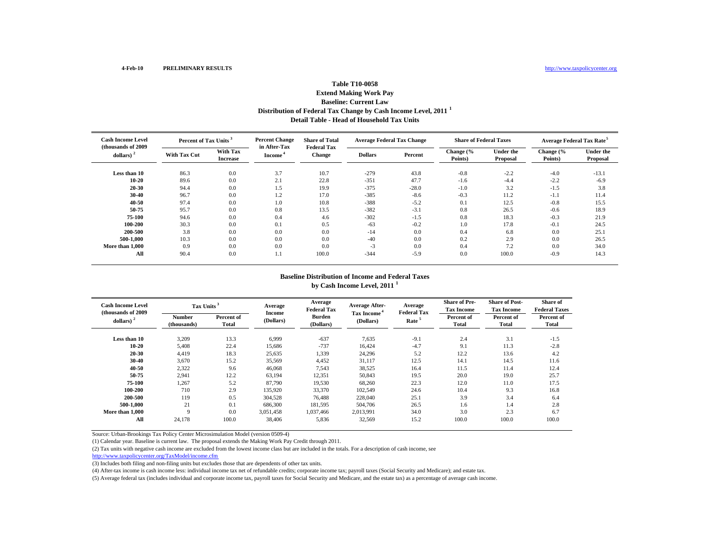## **Distribution of Federal Tax Change by Cash Income Level, 2011 <sup>1</sup> Detail Table - Head of Household Tax Units Table T10-0058Extend Making Work Pay Baseline: Current Law**

| <b>Cash Income Level</b><br>(thousands of 2009) | Percent of Tax Units <sup>3</sup> |                                    | <b>Percent Change</b><br>in After-Tax | <b>Share of Total</b><br><b>Federal Tax</b> | <b>Average Federal Tax Change</b> |         | <b>Share of Federal Taxes</b> |                              | <b>Average Federal Tax Rate<sup>5</sup></b> |                              |
|-------------------------------------------------|-----------------------------------|------------------------------------|---------------------------------------|---------------------------------------------|-----------------------------------|---------|-------------------------------|------------------------------|---------------------------------------------|------------------------------|
| dollars)                                        | <b>With Tax Cut</b>               | <b>With Tax</b><br><b>Increase</b> | Income <sup>*</sup>                   | <b>Change</b>                               | <b>Dollars</b>                    | Percent | Change (%<br>Points)          | <b>Under the</b><br>Proposal | Change (%<br>Points)                        | <b>Under the</b><br>Proposal |
| Less than 10                                    | 86.3                              | 0.0                                | 3.7                                   | 10.7                                        | $-279$                            | 43.8    | $-0.8$                        | $-2.2$                       | $-4.0$                                      | $-13.1$                      |
| 10-20                                           | 89.6                              | 0.0                                | 2.1                                   | 22.8                                        | $-351$                            | 47.7    | $-1.6$                        | $-4.4$                       | $-2.2$                                      | $-6.9$                       |
| 20-30                                           | 94.4                              | 0.0                                | 1.5                                   | 19.9                                        | $-375$                            | $-28.0$ | $-1.0$                        | 3.2                          | $-1.5$                                      | 3.8                          |
| 30-40                                           | 96.7                              | 0.0                                | 1.2                                   | 17.0                                        | $-385$                            | $-8.6$  | $-0.3$                        | 11.2                         | $-1.1$                                      | 11.4                         |
| 40-50                                           | 97.4                              | 0.0                                | 1.0                                   | 10.8                                        | $-388$                            | $-5.2$  | 0.1                           | 12.5                         | $-0.8$                                      | 15.5                         |
| 50-75                                           | 95.7                              | 0.0                                | 0.8                                   | 13.5                                        | $-382$                            | $-3.1$  | 0.8                           | 26.5                         | $-0.6$                                      | 18.9                         |
| 75-100                                          | 94.6                              | 0.0                                | 0.4                                   | 4.6                                         | $-302$                            | $-1.5$  | 0.8                           | 18.3                         | $-0.3$                                      | 21.9                         |
| 100-200                                         | 30.3                              | 0.0                                | 0.1                                   | 0.5                                         | $-63$                             | $-0.2$  | 1.0                           | 17.8                         | $-0.1$                                      | 24.5                         |
| 200-500                                         | 3.8                               | 0.0                                | 0.0                                   | 0.0                                         | $-14$                             | 0.0     | 0.4                           | 6.8                          | 0.0                                         | 25.1                         |
| 500-1.000                                       | 10.3                              | 0.0                                | 0.0                                   | 0.0                                         | $-40$                             | 0.0     | 0.2                           | 2.9                          | 0.0                                         | 26.5                         |
| More than 1.000                                 | 0.9                               | 0.0                                | 0.0                                   | 0.0                                         | $-3$                              | 0.0     | 0.4                           | 7.2                          | 0.0                                         | 34.0                         |
| All                                             | 90.4                              | 0.0                                | 1.1                                   | 100.0                                       | $-344$                            | $-5.9$  | 0.0                           | 100.0                        | $-0.9$                                      | 14.3                         |

### **Baseline Distribution of Income and Federal Taxes by Cash Income Level, 2011 <sup>1</sup>**

| <b>Cash Income Level</b><br>(thousands of 2009) |                       | Tax Units <sup>3</sup> |                     | Average<br><b>Federal Tax</b> | <b>Average After-</b>                | Average<br><b>Federal Tax</b> | <b>Share of Pre-</b><br><b>Tax Income</b> | <b>Share of Post-</b><br><b>Tax Income</b> | <b>Share of</b><br><b>Federal Taxes</b> |
|-------------------------------------------------|-----------------------|------------------------|---------------------|-------------------------------|--------------------------------------|-------------------------------|-------------------------------------------|--------------------------------------------|-----------------------------------------|
| dollars) $2$                                    | Number<br>(thousands) | Percent of<br>Total    | Income<br>(Dollars) | <b>Burden</b><br>(Dollars)    | Tax Income <sup>4</sup><br>(Dollars) | Rate <sup>5</sup>             | Percent of<br>Total                       | Percent of<br>Total                        | Percent of<br>Total                     |
| Less than 10                                    | 3,209                 | 13.3                   | 6,999               | $-637$                        | 7,635                                | $-9.1$                        | 2.4                                       | 3.1                                        | $-1.5$                                  |
| 10-20                                           | 5,408                 | 22.4                   | 15,686              | $-737$                        | 16,424                               | $-4.7$                        | 9.1                                       | 11.3                                       | $-2.8$                                  |
| 20-30                                           | 4.419                 | 18.3                   | 25,635              | 1,339                         | 24,296                               | 5.2                           | 12.2                                      | 13.6                                       | 4.2                                     |
| 30-40                                           | 3,670                 | 15.2                   | 35,569              | 4,452                         | 31,117                               | 12.5                          | 14.1                                      | 14.5                                       | 11.6                                    |
| 40-50                                           | 2,322                 | 9.6                    | 46,068              | 7,543                         | 38,525                               | 16.4                          | 11.5                                      | 11.4                                       | 12.4                                    |
| 50-75                                           | 2,941                 | 12.2                   | 63,194              | 12,351                        | 50,843                               | 19.5                          | 20.0                                      | 19.0                                       | 25.7                                    |
| 75-100                                          | 1,267                 | 5.2                    | 87,790              | 19,530                        | 68,260                               | 22.3                          | 12.0                                      | 11.0                                       | 17.5                                    |
| 100-200                                         | 710                   | 2.9                    | 135,920             | 33,370                        | 102,549                              | 24.6                          | 10.4                                      | 9.3                                        | 16.8                                    |
| 200-500                                         | 119                   | 0.5                    | 304,528             | 76,488                        | 228,040                              | 25.1                          | 3.9                                       | 3.4                                        | 6.4                                     |
| 500-1.000                                       | 21                    | 0.1                    | 686,300             | 181,595                       | 504,706                              | 26.5                          | 1.6                                       | 1.4                                        | 2.8                                     |
| More than 1,000                                 | $\mathbf Q$           | 0.0                    | 3,051,458           | 1,037,466                     | 2,013,991                            | 34.0                          | 3.0                                       | 2.3                                        | 6.7                                     |
| All                                             | 24,178                | 100.0                  | 38,406              | 5,836                         | 32,569                               | 15.2                          | 100.0                                     | 100.0                                      | 100.0                                   |

Source: Urban-Brookings Tax Policy Center Microsimulation Model (version 0509-4)

(1) Calendar year. Baseline is current law. The proposal extends the Making Work Pay Credit through 2011.

(2) Tax units with negative cash income are excluded from the lowest income class but are included in the totals. For a description of cash income, see

http://www.taxpolicycenter.org/TaxModel/income.cfm

(3) Includes both filing and non-filing units but excludes those that are dependents of other tax units.

(4) After-tax income is cash income less: individual income tax net of refundable credits; corporate income tax; payroll taxes (Social Security and Medicare); and estate tax.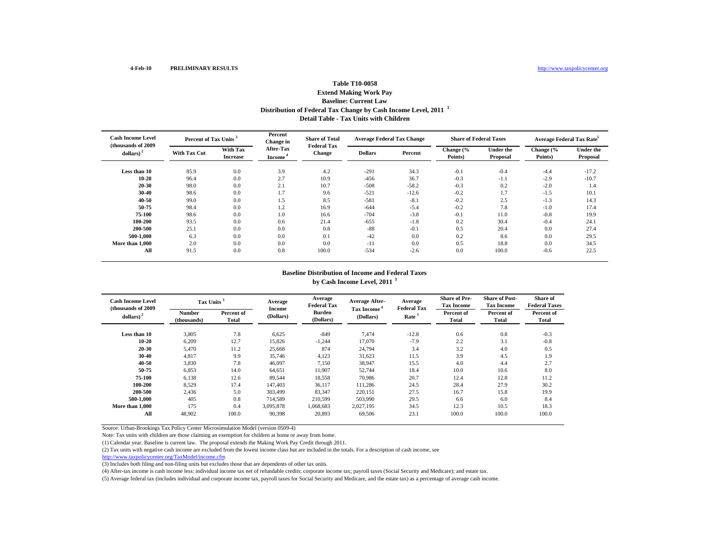## **Distribution of Federal Tax Change by Cash Income Level, 2011 <sup>1</sup> Detail Table - Tax Units with ChildrenTable T10-0058 Extend Making Work Pay Baseline: Current Law**

| <b>Cash Income Level</b><br>(thousands of 2009) |                     | Percent of Tax Units <sup>3</sup>  |                                         | <b>Share of Total</b><br><b>Federal Tax</b> | <b>Average Federal Tax Change</b> |         | <b>Share of Federal Taxes</b> |                              | Average Federal Tax Rate <sup>5</sup> |                              |
|-------------------------------------------------|---------------------|------------------------------------|-----------------------------------------|---------------------------------------------|-----------------------------------|---------|-------------------------------|------------------------------|---------------------------------------|------------------------------|
| dollars) $2$                                    | <b>With Tax Cut</b> | <b>With Tax</b><br><b>Increase</b> | <b>After-Tax</b><br>Income <sup>®</sup> | <b>Change</b>                               | <b>Dollars</b>                    | Percent | Change (%<br>Points)          | <b>Under the</b><br>Proposal | Change (%<br>Points)                  | <b>Under the</b><br>Proposal |
| Less than 10                                    | 85.9                | 0.0                                | 3.9                                     | 4.2                                         | $-291$                            | 34.3    | $-0.1$                        | $-0.4$                       | $-4.4$                                | $-17.2$                      |
| $10 - 20$                                       | 96.4                | 0.0                                | 2.7                                     | 10.9                                        | $-456$                            | 36.7    | $-0.3$                        | $-1.1$                       | $-2.9$                                | $-10.7$                      |
| $20 - 30$                                       | 98.0                | 0.0                                | 2.1                                     | 10.7                                        | $-508$                            | $-58.2$ | $-0.3$                        | 0.2                          | $-2.0$                                | 1.4                          |
| $30 - 40$                                       | 98.6                | 0.0                                | 1.7                                     | 9.6                                         | $-521$                            | $-12.6$ | $-0.2$                        | 1.7                          | $-1.5$                                | 10.1                         |
| $40 - 50$                                       | 99.0                | 0.0                                | 1.5                                     | 8.5                                         | $-581$                            | $-8.1$  | $-0.2$                        | 2.5                          | $-1.3$                                | 14.3                         |
| 50-75                                           | 98.4                | 0.0                                | 1.2                                     | 16.9                                        | $-644$                            | $-5.4$  | $-0.2$                        | 7.8                          | $-1.0$                                | 17.4                         |
| 75-100                                          | 98.6                | 0.0                                | 1.0                                     | 16.6                                        | $-704$                            | $-3.8$  | $-0.1$                        | 11.0                         | $-0.8$                                | 19.9                         |
| 100-200                                         | 93.5                | 0.0                                | 0.6                                     | 21.4                                        | $-655$                            | $-1.8$  | 0.2                           | 30.4                         | $-0.4$                                | 24.1                         |
| 200-500                                         | 25.1                | 0.0                                | 0.0                                     | 0.8                                         | $-88$                             | $-0.1$  | 0.5                           | 20.4                         | 0.0                                   | 27.4                         |
| 500-1.000                                       | 6.3                 | 0.0                                | 0.0                                     | 0.1                                         | $-42$                             | 0.0     | 0.2                           | 8.6                          | 0.0                                   | 29.5                         |
| More than 1,000                                 | 2.0                 | 0.0                                | 0.0                                     | 0.0                                         | $-11$                             | 0.0     | 0.5                           | 18.8                         | 0.0                                   | 34.5                         |
| All                                             | 91.5                | 0.0                                | 0.8                                     | 100.0                                       | $-534$                            | $-2.6$  | 0.0                           | 100.0                        | $-0.6$                                | 22.5                         |

### **Baseline Distribution of Income and Federal Taxes by Cash Income Level, 2011 <sup>1</sup>**

| <b>Cash Income Level</b><br>(thousands of 2009) | Tax Units <sup>3</sup>       |                     | Average             | Average<br><b>Federal Tax</b> | <b>Average After-</b>                | Average<br><b>Federal Tax</b> | <b>Share of Pre-</b><br><b>Tax Income</b> | <b>Share of Post-</b><br><b>Tax Income</b> | Share of<br><b>Federal Taxes</b> |
|-------------------------------------------------|------------------------------|---------------------|---------------------|-------------------------------|--------------------------------------|-------------------------------|-------------------------------------------|--------------------------------------------|----------------------------------|
| dollars) $2$                                    | <b>Number</b><br>(thousands) | Percent of<br>Total | Income<br>(Dollars) | <b>Burden</b><br>(Dollars)    | Tax Income <sup>4</sup><br>(Dollars) | Rate <sup>5</sup>             | Percent of<br>Total                       | Percent of<br>Total                        | Percent of<br><b>Total</b>       |
| Less than 10                                    | 3,805                        | 7.8                 | 6,625               | $-849$                        | 7.474                                | $-12.8$                       | 0.6                                       | 0.8                                        | $-0.3$                           |
| $10 - 20$                                       | 6,209                        | 12.7                | 15.826              | $-1,244$                      | 17.070                               | $-7.9$                        | 2.2                                       | 3.1                                        | $-0.8$                           |
| $20 - 30$                                       | 5,470                        | 11.2                | 25,668              | 874                           | 24,794                               | 3.4                           | 3.2                                       | 4.0                                        | 0.5                              |
| $30 - 40$                                       | 4,817                        | 9.9                 | 35,746              | 4,123                         | 31,623                               | 11.5                          | 3.9                                       | 4.5                                        | 1.9                              |
| 40-50                                           | 3,830                        | 7.8                 | 46,097              | 7,150                         | 38,947                               | 15.5                          | 4.0                                       | 4.4                                        | 2.7                              |
| 50-75                                           | 6,853                        | 14.0                | 64.651              | 11.907                        | 52,744                               | 18.4                          | 10.0                                      | 10.6                                       | 8.0                              |
| 75-100                                          | 6,138                        | 12.6                | 89,544              | 18,558                        | 70.986                               | 20.7                          | 12.4                                      | 12.8                                       | 11.2                             |
| 100-200                                         | 8,529                        | 17.4                | 147,403             | 36,117                        | 111,286                              | 24.5                          | 28.4                                      | 27.9                                       | 30.2                             |
| 200-500                                         | 2,436                        | 5.0                 | 303,499             | 83,347                        | 220,151                              | 27.5                          | 16.7                                      | 15.8                                       | 19.9                             |
| 500-1.000                                       | 405                          | 0.8                 | 714,589             | 210,599                       | 503,990                              | 29.5                          | 6.6                                       | 6.0                                        | 8.4                              |
| More than 1,000                                 | 175                          | 0.4                 | 3.095.878           | 1,068,683                     | 2,027,195                            | 34.5                          | 12.3                                      | 10.5                                       | 18.3                             |
| All                                             | 48.902                       | 100.0               | 90.398              | 20.893                        | 69.506                               | 23.1                          | 100.0                                     | 100.0                                      | 100.0                            |

Source: Urban-Brookings Tax Policy Center Microsimulation Model (version 0509-4)

Note: Tax units with children are those claiming an exemption for children at home or away from home.

(1) Calendar year. Baseline is current law. The proposal extends the Making Work Pay Credit through 2011.

(2) Tax units with negative cash income are excluded from the lowest income class but are included in the totals. For a description of cash income, see

http://www.taxpolicycenter.org/TaxModel/income.cfm

(3) Includes both filing and non-filing units but excludes those that are dependents of other tax units.

(4) After-tax income is cash income less: individual income tax net of refundable credits; corporate income tax; payroll taxes (Social Security and Medicare); and estate tax.